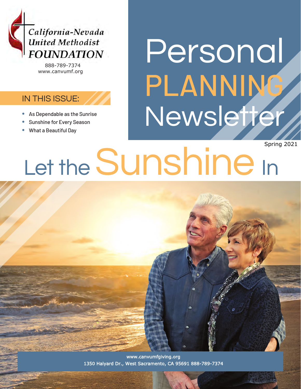

888-789-7374 www.canvumf.org

#### IN THIS ISSUE:

- 
- Sunshine for Every Season
- What a Beautiful Day

## Personal PLANNING • As Dependable as the Sunrise<br>• Sunshine for Every Season

Let the Sunshine In Spring 2021

> www.canvumfgiving.org 1350 Halyard Dr., West Sacramento, CA 95691 888-789-7374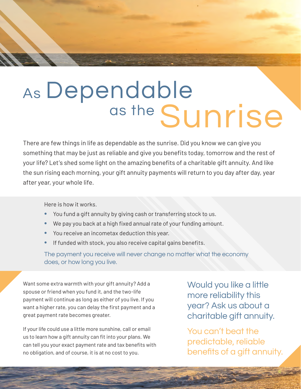### As Dependable as the Sunrise

There are few things in life as dependable as the sunrise. Did you know we can give you something that may be just as reliable and give you benefits today, tomorrow and the rest of your life? Let's shed some light on the amazing benefits of a charitable gift annuity. And like the sun rising each morning, your gift annuity payments will return to you day after day, year after year, your whole life.

Here is how it works.

- You fund a gift annuity by giving cash or transferring stock to us.
- We pay you back at a high fixed annual rate of your funding amount.
- You receive an incometax deduction this year.
- If funded with stock, you also receive capital gains benefits.

The payment you receive will never change no matter what the economy does, or how long you live.

Want some extra warmth with your gift annuity? Add a spouse or friend when you fund it, and the two-life payment will continue as long as either of you live. If you want a higher rate, you can delay the first payment and a great payment rate becomes greater.

If your life could use a little more sunshine, call or email us to learn how a gift annuity can fit into your plans. We can tell you your exact payment rate and tax benefits with no obligation, and of course, it is at no cost to you.

Would you like a little more reliability this year? Ask us about a charitable gift annuity.

You can't beat the predictable, reliable benefits of a gift annuity.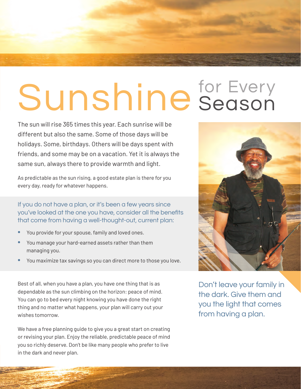# Sunshine for Every

The sun will rise 365 times this year. Each sunrise will be different but also the same. Some of those days will be holidays. Some, birthdays. Others will be days spent with friends, and some may be on a vacation. Yet it is always the same sun, always there to provide warmth and light.

As predictable as the sun rising, a good estate plan is there for you every day, ready for whatever happens.

If you do not have a plan, or it's been a few years since you've looked at the one you have, consider all the benefits that come from having a well-thought-out, current plan:

- You provide for your spouse, family and loved ones.
- You manage your hard-earned assets rather than them managing you.
- You maximize tax savings so you can direct more to those you love.

Best of all, when you have a plan, you have one thing that is as dependable as the sun climbing on the horizon: peace of mind. You can go to bed every night knowing you have done the right thing and no matter what happens, your plan will carry out your wishes tomorrow.

We have a free planning guide to give you a great start on creating or revising your plan. Enjoy the reliable, predictable peace of mind you so richly deserve. Don't be like many people who prefer to live in the dark and never plan.



Don't leave your family in the dark. Give them and you the light that comes from having a plan.